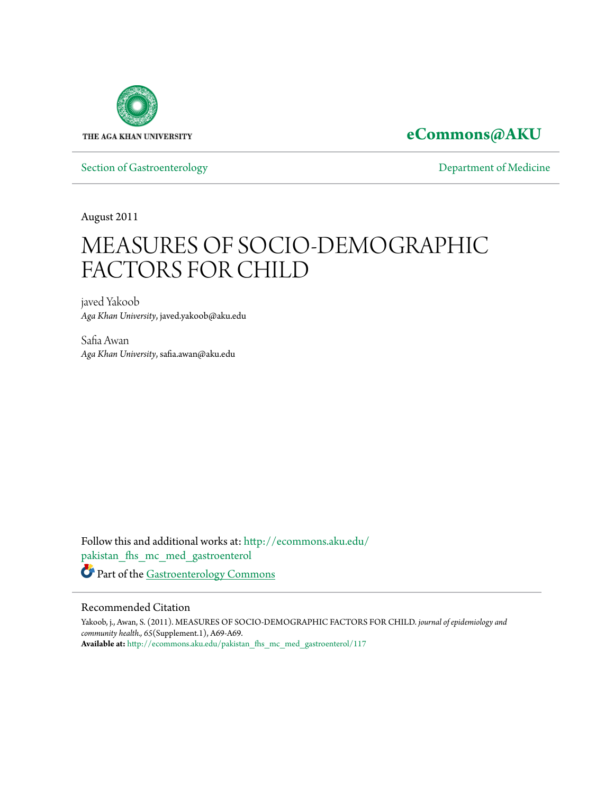

**[eCommons@AKU](http://ecommons.aku.edu?utm_source=ecommons.aku.edu%2Fpakistan_fhs_mc_med_gastroenterol%2F117&utm_medium=PDF&utm_campaign=PDFCoverPages)**

[Section of Gastroenterology](http://ecommons.aku.edu/pakistan_fhs_mc_med_gastroenterol?utm_source=ecommons.aku.edu%2Fpakistan_fhs_mc_med_gastroenterol%2F117&utm_medium=PDF&utm_campaign=PDFCoverPages) **[Department of Medicine](http://ecommons.aku.edu/pakistan_fhs_mc_med?utm_source=ecommons.aku.edu%2Fpakistan_fhs_mc_med_gastroenterol%2F117&utm_medium=PDF&utm_campaign=PDFCoverPages)** 

August 2011

# MEASURES OF SOCIO-DEMOGRAPHIC FACTORS FOR CHILD

javed Yakoob *Aga Khan University*, javed.yakoob@aku.edu

Safia Awan *Aga Khan University*, safia.awan@aku.edu

Follow this and additional works at: [http://ecommons.aku.edu/](http://ecommons.aku.edu/pakistan_fhs_mc_med_gastroenterol?utm_source=ecommons.aku.edu%2Fpakistan_fhs_mc_med_gastroenterol%2F117&utm_medium=PDF&utm_campaign=PDFCoverPages) [pakistan\\_fhs\\_mc\\_med\\_gastroenterol](http://ecommons.aku.edu/pakistan_fhs_mc_med_gastroenterol?utm_source=ecommons.aku.edu%2Fpakistan_fhs_mc_med_gastroenterol%2F117&utm_medium=PDF&utm_campaign=PDFCoverPages) Part of the [Gastroenterology Commons](http://network.bepress.com/hgg/discipline/687?utm_source=ecommons.aku.edu%2Fpakistan_fhs_mc_med_gastroenterol%2F117&utm_medium=PDF&utm_campaign=PDFCoverPages)

### Recommended Citation

Yakoob, j., Awan, S. (2011). MEASURES OF SOCIO-DEMOGRAPHIC FACTORS FOR CHILD. *journal of epidemiology and community health., 65*(Supplement.1), A69-A69. **Available at:** [http://ecommons.aku.edu/pakistan\\_fhs\\_mc\\_med\\_gastroenterol/117](http://ecommons.aku.edu/pakistan_fhs_mc_med_gastroenterol/117)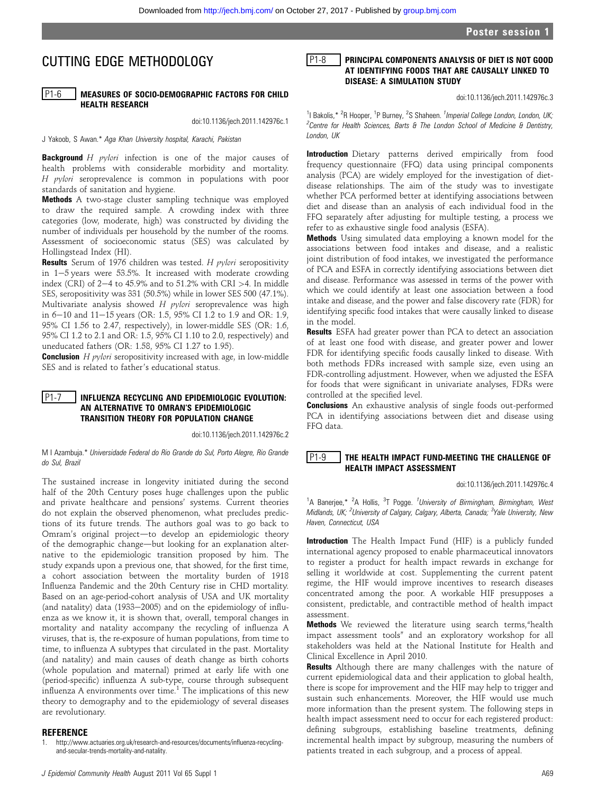## CUTTING EDGE METHODOLOGY

#### P1-6 | MEASURES OF SOCIO-DEMOGRAPHIC FACTORS FOR CHILD HEALTH RESEARCH

doi:10.1136/jech.2011.142976c.1

J Yakoob, S Awan.\* Aga Khan University hospital, Karachi, Pakistan

**Background**  $H$  *pylori* infection is one of the major causes of health problems with considerable morbidity and mortality. H pylori seroprevalence is common in populations with poor standards of sanitation and hygiene.

Methods A two-stage cluster sampling technique was employed to draw the required sample. A crowding index with three categories (low, moderate, high) was constructed by dividing the number of individuals per household by the number of the rooms. Assessment of socioeconomic status (SES) was calculated by Hollingstead Index (HI).

Results Serum of 1976 children was tested. H pylori seropositivity in  $1-5$  years were 53.5%. It increased with moderate crowding index (CRI) of  $2-4$  to 45.9% and to 51.2% with CRI >4. In middle SES, seropositivity was 331 (50.5%) while in lower SES 500 (47.1%). Multivariate analysis showed  $H$  pylori seroprevalence was high in 6-10 and 11-15 years (OR: 1.5, 95% CI 1.2 to 1.9 and OR: 1.9, 95% CI 1.56 to 2.47, respectively), in lower-middle SES (OR: 1.6, 95% CI 1.2 to 2.1 and OR: 1.5, 95% CI 1.10 to 2.0, respectively) and uneducated fathers (OR: 1.58, 95% CI 1.27 to 1.95).

**Conclusion**  $H$  *pylori* seropositivity increased with age, in low-middle SES and is related to father's educational status.

#### P1-7 INFLUENZA RECYCLING AND EPIDEMIOLOGIC EVOLUTION: AN ALTERNATIVE TO OMRAN'S EPIDEMIOLOGIC TRANSITION THEORY FOR POPULATION CHANGE

doi:10.1136/jech.2011.142976c.2

M I Azambuja.\* Universidade Federal do Rio Grande do Sul, Porto Alegre, Rio Grande do Sul, Brazil

The sustained increase in longevity initiated during the second half of the 20th Century poses huge challenges upon the public and private healthcare and pensions' systems. Current theories do not explain the observed phenomenon, what precludes predictions of its future trends. The authors goal was to go back to Omram's original project-to develop an epidemiologic theory of the demographic change—but looking for an explanation alternative to the epidemiologic transition proposed by him. The study expands upon a previous one, that showed, for the first time, a cohort association between the mortality burden of 1918 Influenza Pandemic and the 20th Century rise in CHD mortality. Based on an age-period-cohort analysis of USA and UK mortality (and natality) data (1933 $-2005$ ) and on the epidemiology of influenza as we know it, it is shown that, overall, temporal changes in mortality and natality accompany the recycling of influenza A viruses, that is, the re-exposure of human populations, from time to time, to influenza A subtypes that circulated in the past. Mortality (and natality) and main causes of death change as birth cohorts (whole population and maternal) primed at early life with one (period-specific) influenza A sub-type, course through subsequent influenza A environments over time.<sup>1</sup> The implications of this new theory to demography and to the epidemiology of several diseases are revolutionary.

#### **REFERENCE**

P1-8 PRINCIPAL COMPONENTS ANALYSIS OF DIET IS NOT GOOD AT IDENTIFYING FOODS THAT ARE CAUSALLY LINKED TO DISEASE: A SIMULATION STUDY

doi:10.1136/jech.2011.142976c.3

<sup>1</sup>I Bakolis,\* <sup>2</sup>R Hooper, <sup>1</sup>P Burney, <sup>2</sup>S Shaheen. <sup>1</sup>Imperial College London, London, UK; <sup>2</sup>Centre for Health Sciences, Barts & The London School of Medicine & Dentistry, London, UK

Introduction Dietary patterns derived empirically from food frequency questionnaire (FFQ) data using principal components analysis (PCA) are widely employed for the investigation of dietdisease relationships. The aim of the study was to investigate whether PCA performed better at identifying associations between diet and disease than an analysis of each individual food in the FFQ separately after adjusting for multiple testing, a process we refer to as exhaustive single food analysis (ESFA).

Methods Using simulated data employing a known model for the associations between food intakes and disease, and a realistic joint distribution of food intakes, we investigated the performance of PCA and ESFA in correctly identifying associations between diet and disease. Performance was assessed in terms of the power with which we could identify at least one association between a food intake and disease, and the power and false discovery rate (FDR) for identifying specific food intakes that were causally linked to disease in the model.

Results ESFA had greater power than PCA to detect an association of at least one food with disease, and greater power and lower FDR for identifying specific foods causally linked to disease. With both methods FDRs increased with sample size, even using an FDR-controlling adjustment. However, when we adjusted the ESFA for foods that were significant in univariate analyses, FDRs were controlled at the specified level.

Conclusions An exhaustive analysis of single foods out-performed PCA in identifying associations between diet and disease using FFQ data.

#### **P1-9 THE HEALTH IMPACT FUND-MEETING THE CHALLENGE OF** HEALTH IMPACT ASSESSMENT

doi:10.1136/jech.2011.142976c.4

<sup>1</sup>A Banerjee,\* <sup>2</sup>A Hollis,  $3T$  Pogge. <sup>1</sup>University of Birmingham, Birmingham, West Midlands, UK; <sup>2</sup>University of Calgary, Calgary, Alberta, Canada; <sup>3</sup>Yale University, New Haven, Connecticut, USA

Introduction The Health Impact Fund (HIF) is a publicly funded international agency proposed to enable pharmaceutical innovators to register a product for health impact rewards in exchange for selling it worldwide at cost. Supplementing the current patent regime, the HIF would improve incentives to research diseases concentrated among the poor. A workable HIF presupposes a consistent, predictable, and contractible method of health impact assessment.

Methods We reviewed the literature using search terms, "health impact assessment tools" and an exploratory workshop for all stakeholders was held at the National Institute for Health and Clinical Excellence in April 2010.

**Results** Although there are many challenges with the nature of current epidemiological data and their application to global health, there is scope for improvement and the HIF may help to trigger and sustain such enhancements. Moreover, the HIF would use much more information than the present system. The following steps in health impact assessment need to occur for each registered product: defining subgroups, establishing baseline treatments, defining incremental health impact by subgroup, measuring the numbers of patients treated in each subgroup, and a process of appeal.

<sup>1.</sup> http://www.actuaries.org.uk/research-and-resources/documents/influenza-recyclingand-secular-trends-mortality-and-natality.